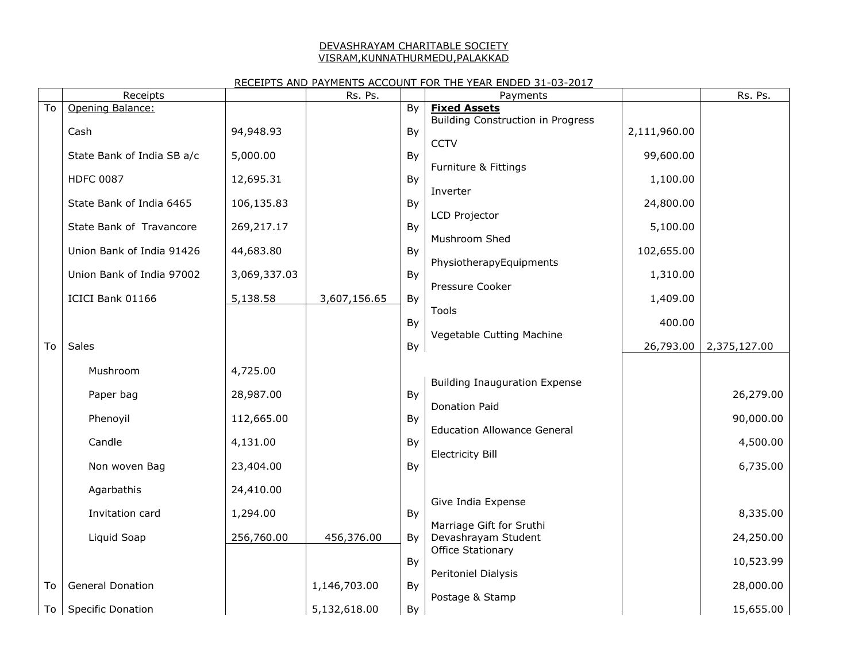#### DEVASHRAYAM CHARITABLE SOCIETY VISRAM,KUNNATHURMEDU,PALAKKAD

## RECEIPTS AND PAYMENTS ACCOUNT FOR THE YEAR ENDED 31-03-2017

|    | Receipts                   |              | Rs. Ps.      |    | Payments                                 |              | Rs. Ps.      |
|----|----------------------------|--------------|--------------|----|------------------------------------------|--------------|--------------|
| To | Opening Balance:           |              |              | By | <b>Fixed Assets</b>                      |              |              |
|    | Cash                       | 94,948.93    |              | By | Building Construction in Progress        | 2,111,960.00 |              |
|    |                            |              |              |    | <b>CCTV</b>                              |              |              |
|    | State Bank of India SB a/c | 5,000.00     |              | By |                                          | 99,600.00    |              |
|    | <b>HDFC 0087</b>           | 12,695.31    |              | By | Furniture & Fittings                     | 1,100.00     |              |
|    |                            |              |              |    | Inverter                                 |              |              |
|    | State Bank of India 6465   | 106,135.83   |              | By |                                          | 24,800.00    |              |
|    | State Bank of Travancore   | 269,217.17   |              | By | LCD Projector                            | 5,100.00     |              |
|    |                            |              |              |    | Mushroom Shed                            |              |              |
|    | Union Bank of India 91426  | 44,683.80    |              | By |                                          | 102,655.00   |              |
|    | Union Bank of India 97002  | 3,069,337.03 |              | By | PhysiotherapyEquipments                  | 1,310.00     |              |
|    |                            |              |              |    | Pressure Cooker                          |              |              |
|    | ICICI Bank 01166           | 5,138.58     | 3,607,156.65 | By |                                          | 1,409.00     |              |
|    |                            |              |              | By | Tools                                    | 400.00       |              |
|    |                            |              |              |    | Vegetable Cutting Machine                |              |              |
| To | Sales                      |              |              | By |                                          | 26,793.00    | 2,375,127.00 |
|    | Mushroom                   | 4,725.00     |              |    |                                          |              |              |
|    |                            |              |              |    | <b>Building Inauguration Expense</b>     |              |              |
|    | Paper bag                  | 28,987.00    |              | By | <b>Donation Paid</b>                     |              | 26,279.00    |
|    | Phenoyil                   | 112,665.00   |              | By |                                          |              | 90,000.00    |
|    |                            |              |              |    | <b>Education Allowance General</b>       |              |              |
|    | Candle                     | 4,131.00     |              | By | <b>Electricity Bill</b>                  |              | 4,500.00     |
|    | Non woven Bag              | 23,404.00    |              | By |                                          |              | 6,735.00     |
|    |                            |              |              |    |                                          |              |              |
|    | Agarbathis                 | 24,410.00    |              |    | Give India Expense                       |              |              |
|    | Invitation card            | 1,294.00     |              | By |                                          |              | 8,335.00     |
|    |                            |              |              |    | Marriage Gift for Sruthi                 |              |              |
|    | Liquid Soap                | 256,760.00   | 456,376.00   | By | Devashrayam Student<br>Office Stationary |              | 24,250.00    |
|    |                            |              |              | By |                                          |              | 10,523.99    |
|    |                            |              |              |    | Peritoniel Dialysis                      |              |              |
| To | <b>General Donation</b>    |              | 1,146,703.00 | By | Postage & Stamp                          |              | 28,000.00    |
|    | To Specific Donation       |              | 5,132,618.00 | By |                                          |              | 15,655.00    |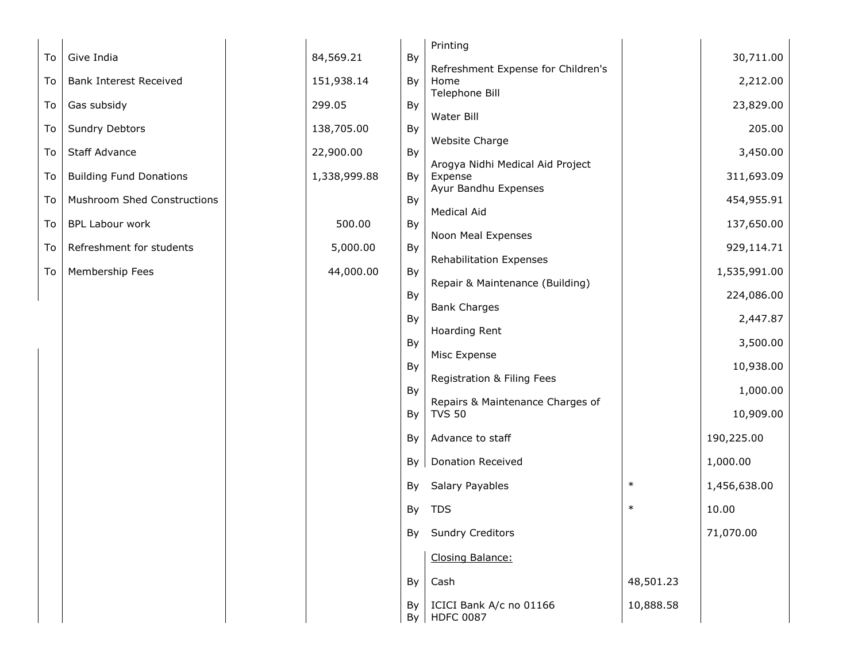|    |                                    |              |          | Printing                                    |           |              |
|----|------------------------------------|--------------|----------|---------------------------------------------|-----------|--------------|
| To | Give India                         | 84,569.21    | By       | Refreshment Expense for Children's          |           | 30,711.00    |
| To | <b>Bank Interest Received</b>      | 151,938.14   | By       | Home                                        |           | 2,212.00     |
| To | Gas subsidy                        | 299.05       | By       | Telephone Bill                              |           | 23,829.00    |
| To | Sundry Debtors                     | 138,705.00   | By       | Water Bill                                  |           | 205.00       |
| To | Staff Advance                      | 22,900.00    | By       | Website Charge                              |           | 3,450.00     |
| To | <b>Building Fund Donations</b>     | 1,338,999.88 | By       | Arogya Nidhi Medical Aid Project<br>Expense |           | 311,693.09   |
| To | <b>Mushroom Shed Constructions</b> |              | By       | Ayur Bandhu Expenses<br>Medical Aid         |           | 454,955.91   |
| To | <b>BPL Labour work</b>             | 500.00       | By       | Noon Meal Expenses                          |           | 137,650.00   |
| To | Refreshment for students           | 5,000.00     | By       | Rehabilitation Expenses                     |           | 929,114.71   |
| To | Membership Fees                    | 44,000.00    | By       |                                             |           | 1,535,991.00 |
|    |                                    |              | By       | Repair & Maintenance (Building)             |           | 224,086.00   |
|    |                                    |              | By       | <b>Bank Charges</b>                         |           | 2,447.87     |
|    |                                    |              | By       | Hoarding Rent                               |           | 3,500.00     |
|    |                                    |              |          | Misc Expense                                |           |              |
|    |                                    |              | By       | Registration & Filing Fees                  |           | 10,938.00    |
|    |                                    |              | By       | Repairs & Maintenance Charges of            |           | 1,000.00     |
|    |                                    |              | By       | <b>TVS 50</b>                               |           | 10,909.00    |
|    |                                    |              | By       | Advance to staff                            |           | 190,225.00   |
|    |                                    |              | By       | <b>Donation Received</b>                    |           | 1,000.00     |
|    |                                    |              | By       | <b>Salary Payables</b>                      | $\ast$    | 1,456,638.00 |
|    |                                    |              | By       | <b>TDS</b>                                  | $\ast$    | 10.00        |
|    |                                    |              |          | By Sundry Creditors                         |           | 71,070.00    |
|    |                                    |              |          | Closing Balance:                            |           |              |
|    |                                    |              | By       | Cash                                        | 48,501.23 |              |
|    |                                    |              | By<br>By | ICICI Bank A/c no 01166<br><b>HDFC 0087</b> | 10,888.58 |              |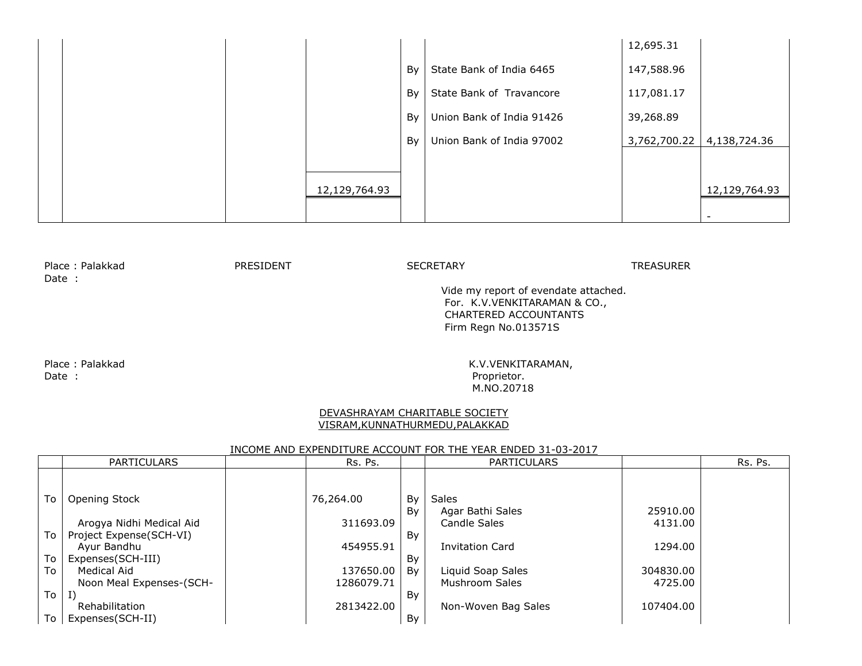|  |               |    |                           | 12,695.31    |               |
|--|---------------|----|---------------------------|--------------|---------------|
|  |               | By | State Bank of India 6465  | 147,588.96   |               |
|  |               | By | State Bank of Travancore  | 117,081.17   |               |
|  |               | By | Union Bank of India 91426 | 39,268.89    |               |
|  |               | By | Union Bank of India 97002 | 3,762,700.22 | 4,138,724.36  |
|  |               |    |                           |              |               |
|  | 12,129,764.93 |    |                           |              | 12,129,764.93 |
|  |               |    |                           |              |               |

Place : Palakkad TREASURER PRESIDENT SECRETARY SECRETARY PREASURER Date :

 Vide my report of evendate attached. For. K.V.VENKITARAMAN & CO., CHARTERED ACCOUNTANTS Firm Regn No.013571S

Date : Proprietor.

Place : Palakkad K.V.VENKITARAMAN, M.NO.20718

#### DEVASHRAYAM CHARITABLE SOCIETY VISRAM,KUNNATHURMEDU,PALAKKAD

#### INCOME AND EXPENDITURE ACCOUNT FOR THE YEAR ENDED 31-03-2017

|    | <b>PARTICULARS</b>       | Rs. Ps.    |    | <b>PARTICULARS</b>     |           | Rs. Ps. |
|----|--------------------------|------------|----|------------------------|-----------|---------|
|    |                          |            |    |                        |           |         |
| To | Opening Stock            | 76,264.00  | By | Sales                  |           |         |
|    |                          |            | Bv | Agar Bathi Sales       | 25910.00  |         |
|    | Arogya Nidhi Medical Aid | 311693.09  |    | Candle Sales           | 4131.00   |         |
| To | Project Expense(SCH-VI)  |            | By |                        |           |         |
|    | Ayur Bandhu              | 454955.91  |    | <b>Invitation Card</b> | 1294.00   |         |
| To | Expenses(SCH-III)        |            | By |                        |           |         |
| To | Medical Aid              | 137650.00  | Bv | Liquid Soap Sales      | 304830.00 |         |
|    | Noon Meal Expenses-(SCH- | 1286079.71 |    | Mushroom Sales         | 4725.00   |         |
| To | I)                       |            | By |                        |           |         |
|    | Rehabilitation           | 2813422.00 |    | Non-Woven Bag Sales    | 107404.00 |         |
| To | Expenses(SCH-II)         |            | By |                        |           |         |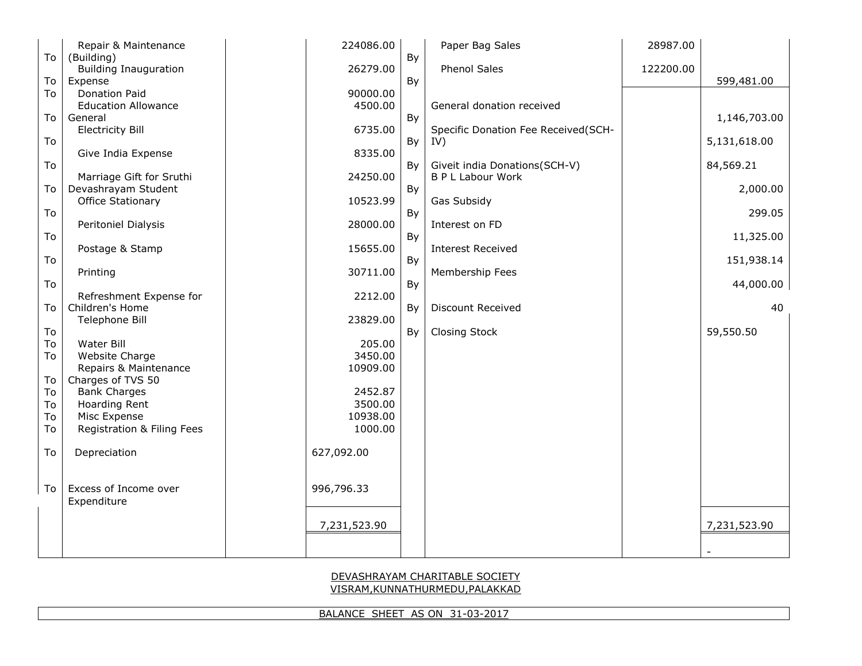# BALANCE SHEET AS ON 31-03-2017

### DEVASHRAYAM CHARITABLE SOCIETY VISRAM,KUNNATHURMEDU,PALAKKAD

| To       | Repair & Maintenance                       | 224086.00           |    | Paper Bag Sales                     | 28987.00  |              |
|----------|--------------------------------------------|---------------------|----|-------------------------------------|-----------|--------------|
|          | (Building)<br><b>Building Inauguration</b> | 26279.00            | By | Phenol Sales                        | 122200.00 |              |
| To       | Expense                                    |                     | By |                                     |           | 599,481.00   |
| To       | <b>Donation Paid</b>                       | 90000.00            |    |                                     |           |              |
|          | <b>Education Allowance</b>                 | 4500.00             |    | General donation received           |           |              |
| To       | General<br><b>Electricity Bill</b>         | 6735.00             | By | Specific Donation Fee Received(SCH- |           | 1,146,703.00 |
| To       |                                            |                     | By | IV)                                 |           | 5,131,618.00 |
|          | Give India Expense                         | 8335.00             |    |                                     |           |              |
| To       |                                            |                     | By | Giveit india Donations(SCH-V)       |           | 84,569.21    |
|          | Marriage Gift for Sruthi                   | 24250.00            |    | <b>B P L Labour Work</b>            |           |              |
| To       | Devashrayam Student<br>Office Stationary   | 10523.99            | By | Gas Subsidy                         |           | 2,000.00     |
| To       |                                            |                     | By |                                     |           | 299.05       |
|          | Peritoniel Dialysis                        | 28000.00            |    | Interest on FD                      |           |              |
| To       |                                            |                     | By |                                     |           | 11,325.00    |
| To       | Postage & Stamp                            | 15655.00            |    | <b>Interest Received</b>            |           |              |
|          | Printing                                   | 30711.00            | By | Membership Fees                     |           | 151,938.14   |
| To       |                                            |                     | By |                                     |           | 44,000.00    |
|          | Refreshment Expense for                    | 2212.00             |    |                                     |           |              |
| To       | Children's Home                            |                     | By | Discount Received                   |           | 40           |
|          | Telephone Bill                             | 23829.00            |    |                                     |           |              |
| To<br>To | Water Bill                                 | 205.00              | By | <b>Closing Stock</b>                |           | 59,550.50    |
| To       | Website Charge                             | 3450.00             |    |                                     |           |              |
|          | Repairs & Maintenance                      | 10909.00            |    |                                     |           |              |
| To       | Charges of TVS 50                          |                     |    |                                     |           |              |
| To       | <b>Bank Charges</b>                        | 2452.87             |    |                                     |           |              |
| To<br>To | <b>Hoarding Rent</b><br>Misc Expense       | 3500.00<br>10938.00 |    |                                     |           |              |
| To       | Registration & Filing Fees                 | 1000.00             |    |                                     |           |              |
|          |                                            |                     |    |                                     |           |              |
| To       | Depreciation                               | 627,092.00          |    |                                     |           |              |
|          |                                            |                     |    |                                     |           |              |
| To       | Excess of Income over                      | 996,796.33          |    |                                     |           |              |
|          | Expenditure                                |                     |    |                                     |           |              |
|          |                                            |                     |    |                                     |           |              |
|          |                                            | 7,231,523.90        |    |                                     |           | 7,231,523.90 |
|          |                                            |                     |    |                                     |           |              |
|          |                                            |                     |    |                                     |           |              |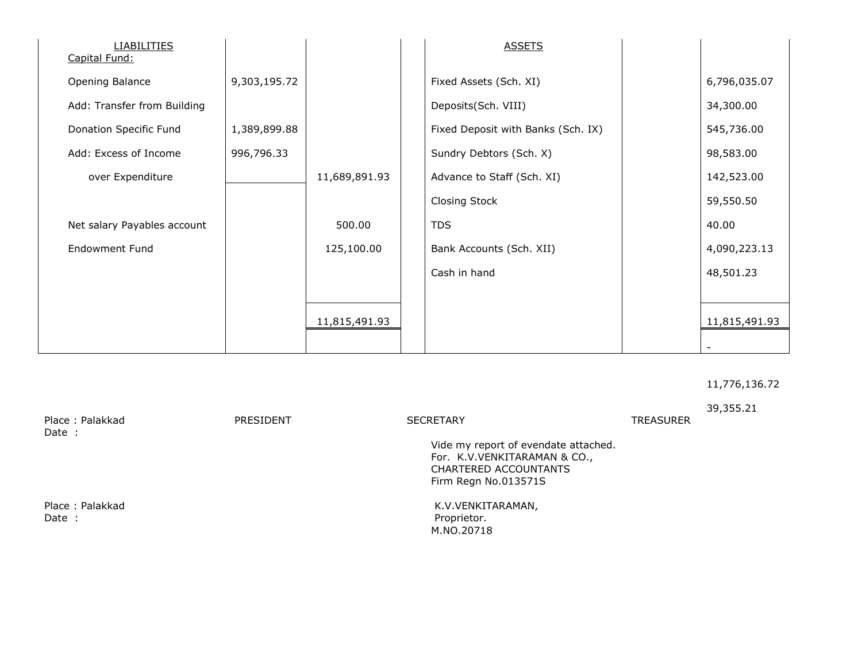| <b>LIABILITIES</b><br>Capital Fund: |              |               | <b>ASSETS</b>                      |               |
|-------------------------------------|--------------|---------------|------------------------------------|---------------|
| Opening Balance                     | 9,303,195.72 |               | Fixed Assets (Sch. XI)             | 6,796,035.07  |
| Add: Transfer from Building         |              |               | Deposits(Sch. VIII)                | 34,300.00     |
| Donation Specific Fund              | 1,389,899.88 |               | Fixed Deposit with Banks (Sch. IX) | 545,736.00    |
| Add: Excess of Income               | 996,796.33   |               | Sundry Debtors (Sch. X)            | 98,583.00     |
| over Expenditure                    |              | 11,689,891.93 | Advance to Staff (Sch. XI)         | 142,523.00    |
|                                     |              |               | <b>Closing Stock</b>               | 59,550.50     |
| Net salary Payables account         |              | 500.00        | <b>TDS</b>                         | 40.00         |
| <b>Endowment Fund</b>               |              | 125,100.00    | Bank Accounts (Sch. XII)           | 4,090,223.13  |
|                                     |              |               | Cash in hand                       | 48,501.23     |
|                                     |              |               |                                    |               |
|                                     |              | 11,815,491.93 |                                    | 11,815,491.93 |
|                                     |              |               |                                    |               |

### 11,776,136.72

39,355.21 Place : Palakkad TREASURER PRESIDENT SECRETARY SECRETARY PREASURER Date : Vide my report of evendate attached. For. K.V.VENKITARAMAN & CO., CHARTERED ACCOUNTANTS Firm Regn No.013571S Place : Palakkad K.V.VENKITARAMAN, Date : Proprietor. M.NO.20718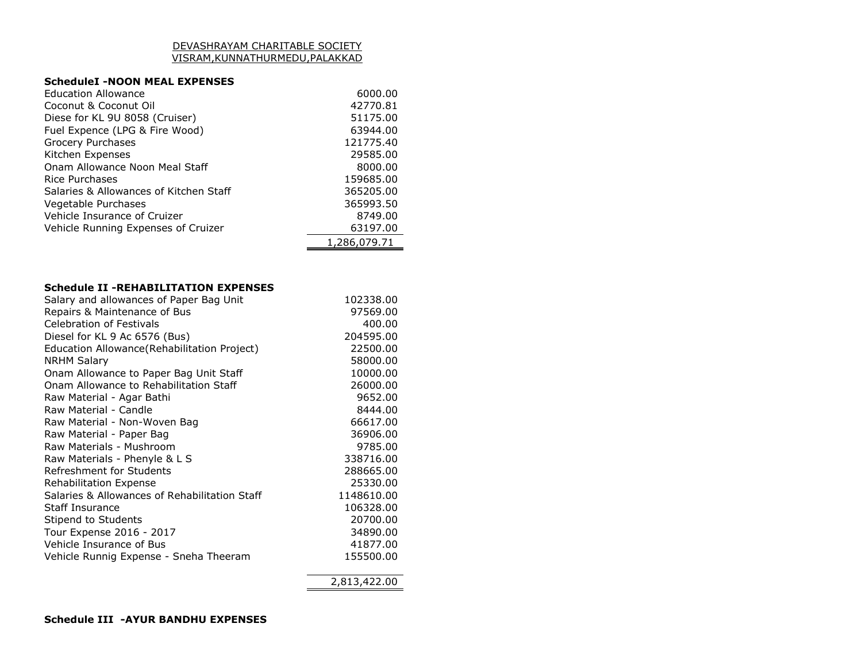#### DEVASHRAYAM CHARITABLE SOCIETY VISRAM,KUNNATHURMEDU,PALAKKAD

## **ScheduleI -NOON MEAL EXPENSES**

| <b>Education Allowance</b>             | 6000.00      |
|----------------------------------------|--------------|
| Coconut & Coconut Oil                  | 42770.81     |
| Diese for KL 9U 8058 (Cruiser)         | 51175.00     |
| Fuel Expence (LPG & Fire Wood)         | 63944.00     |
| Grocery Purchases                      | 121775.40    |
| Kitchen Expenses                       | 29585.00     |
| Onam Allowance Noon Meal Staff         | 8000.00      |
| Rice Purchases                         | 159685.00    |
| Salaries & Allowances of Kitchen Staff | 365205.00    |
| Vegetable Purchases                    | 365993.50    |
| Vehicle Insurance of Cruizer           | 8749.00      |
| Vehicle Running Expenses of Cruizer    | 63197.00     |
|                                        | 1,286,079.71 |

#### **Schedule II -REHABILITATION EXPENSES**

| Salary and allowances of Paper Bag Unit       | 102338.00  |
|-----------------------------------------------|------------|
| Repairs & Maintenance of Bus                  | 97569.00   |
| <b>Celebration of Festivals</b>               | 400.00     |
| Diesel for KL 9 Ac 6576 (Bus)                 | 204595.00  |
| Education Allowance (Rehabilitation Project)  | 22500.00   |
| <b>NRHM Salary</b>                            | 58000.00   |
| Onam Allowance to Paper Bag Unit Staff        | 10000.00   |
| Onam Allowance to Rehabilitation Staff        | 26000.00   |
| Raw Material - Agar Bathi                     | 9652.00    |
| Raw Material - Candle                         | 8444.00    |
| Raw Material - Non-Woven Bag                  | 66617.00   |
| Raw Material - Paper Bag                      | 36906.00   |
| Raw Materials - Mushroom                      | 9785.00    |
| Raw Materials - Phenyle & L S                 | 338716.00  |
| Refreshment for Students                      | 288665.00  |
| <b>Rehabilitation Expense</b>                 | 25330.00   |
| Salaries & Allowances of Rehabilitation Staff | 1148610.00 |
| <b>Staff Insurance</b>                        | 106328.00  |
| Stipend to Students                           | 20700.00   |
| Tour Expense 2016 - 2017                      | 34890.00   |
| Vehicle Insurance of Bus                      | 41877.00   |
| Vehicle Runnig Expense - Sneha Theeram        | 155500.00  |
|                                               |            |

2,813,422.00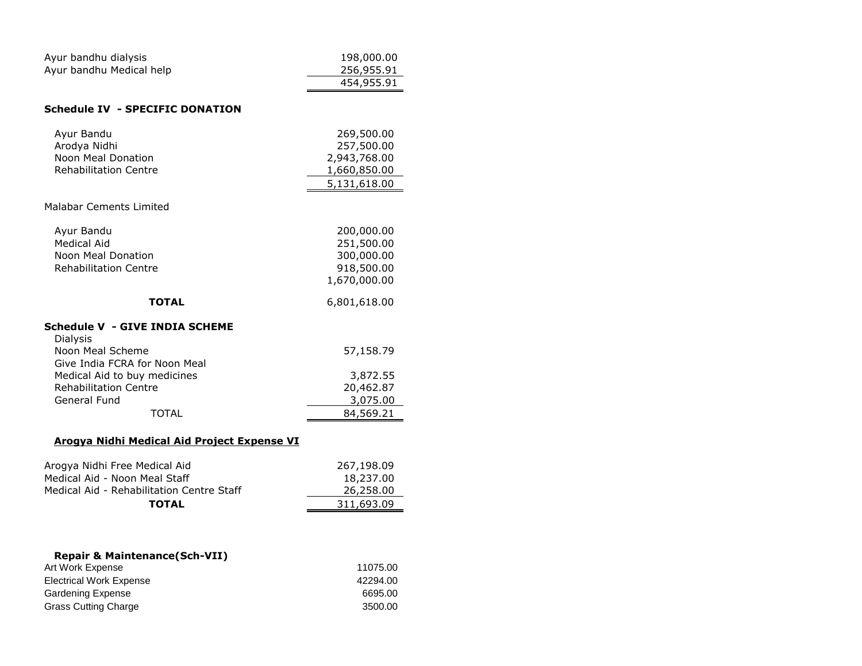| Ayur bandhu dialysis                               | 198,000.00   |
|----------------------------------------------------|--------------|
| Ayur bandhu Medical help                           | 256,955.91   |
|                                                    | 454,955.91   |
|                                                    |              |
| <b>Schedule IV - SPECIFIC DONATION</b>             |              |
| Ayur Bandu                                         | 269,500.00   |
| Arodya Nidhi                                       | 257,500.00   |
| Noon Meal Donation                                 | 2,943,768.00 |
| <b>Rehabilitation Centre</b>                       | 1,660,850.00 |
|                                                    | 5,131,618.00 |
| Malabar Cements Limited                            |              |
|                                                    |              |
| Ayur Bandu                                         | 200,000.00   |
| <b>Medical Aid</b>                                 | 251,500.00   |
| Noon Meal Donation                                 | 300,000.00   |
| <b>Rehabilitation Centre</b>                       | 918,500.00   |
|                                                    | 1,670,000.00 |
|                                                    |              |
| <b>TOTAL</b>                                       | 6,801,618.00 |
| Schedule V - GIVE INDIA SCHEME                     |              |
| <b>Dialysis</b>                                    |              |
| Noon Meal Scheme                                   | 57,158.79    |
| Give India FCRA for Noon Meal                      |              |
| Medical Aid to buy medicines                       | 3,872.55     |
| <b>Rehabilitation Centre</b>                       | 20,462.87    |
| General Fund                                       | 3,075.00     |
| <b>TOTAL</b>                                       | 84,569.21    |
| <b>Arogya Nidhi Medical Aid Project Expense VI</b> |              |
|                                                    |              |
| Arogya Nidhi Free Medical Aid                      | 267,198.09   |
| Medical Aid - Noon Meal Staff                      | 18,237.00    |
| Medical Aid - Rehabilitation Centre Staff          | 26,258.00    |
| <b>TOTAL</b>                                       | 311,693.09   |
|                                                    |              |

| <b>Repair &amp; Maintenance (Sch-VII)</b> |          |
|-------------------------------------------|----------|
| Art Work Expense                          | 11075.00 |
| <b>Electrical Work Expense</b>            | 42294.00 |
| <b>Gardening Expense</b>                  | 6695.00  |
| <b>Grass Cutting Charge</b>               | 3500.00  |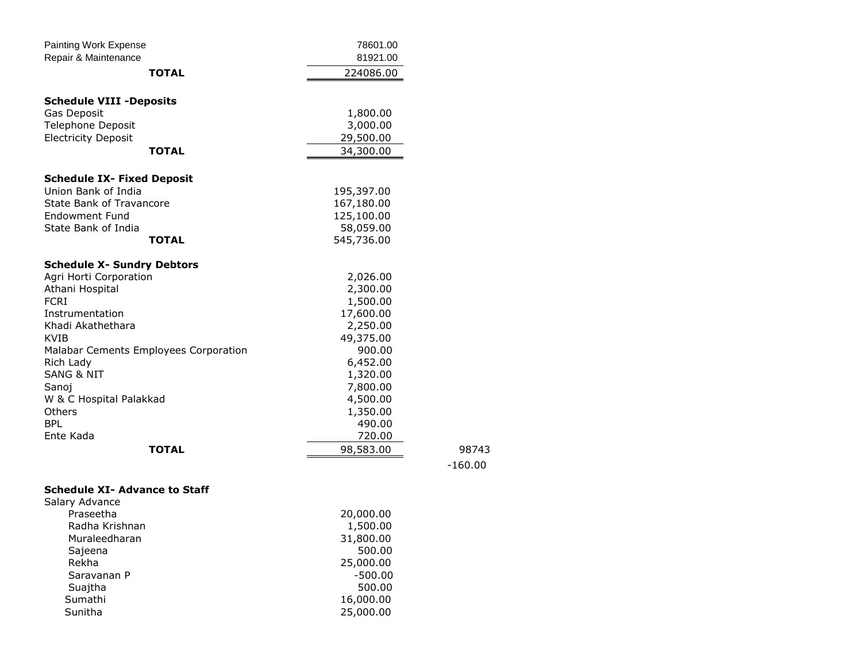| <b>Painting Work Expense</b>                           | 78601.00   |
|--------------------------------------------------------|------------|
| Repair & Maintenance                                   | 81921.00   |
| <b>TOTAL</b>                                           | 224086.00  |
| <b>Schedule VIII -Deposits</b>                         |            |
| Gas Deposit                                            | 1,800.00   |
| <b>Telephone Deposit</b>                               | 3,000.00   |
| <b>Electricity Deposit</b>                             | 29,500.00  |
| TOTAL                                                  | 34,300.00  |
| <b>Schedule IX- Fixed Deposit</b>                      |            |
| Union Bank of India                                    | 195,397.00 |
| <b>State Bank of Travancore</b>                        | 167,180.00 |
| Endowment Fund                                         | 125,100.00 |
| State Bank of India                                    | 58,059.00  |
| <b>TOTAL</b>                                           | 545,736.00 |
| <b>Schedule X- Sundry Debtors</b>                      |            |
| Agri Horti Corporation                                 | 2,026.00   |
| Athani Hospital                                        | 2,300.00   |
| <b>FCRT</b>                                            | 1,500.00   |
| Instrumentation                                        | 17,600.00  |
| Khadi Akathethara                                      | 2,250.00   |
| <b>KVIB</b>                                            | 49,375.00  |
| Malabar Cements Employees Corporation                  | 900.00     |
| Rich Lady                                              | 6,452.00   |
| <b>SANG &amp; NIT</b>                                  | 1,320.00   |
| Sanoj                                                  | 7,800.00   |
| W & C Hospital Palakkad                                | 4,500.00   |
| Others                                                 | 1,350.00   |
| <b>BPL</b>                                             | 490.00     |
| Ente Kada                                              | 720.00     |
| TOTAL                                                  | 98,583.00  |
|                                                        |            |
| <b>Schedule XI- Advance to Staff</b><br>Salary Advance |            |
| Praseetha                                              | 20,000.00  |
| Radha Krishnan                                         | 1,500.00   |
| Muraleedharan                                          | 31,800.00  |
| Sajeena                                                | 500.00     |
| Rekha                                                  | 25,000.00  |
| Saravanan P                                            | $-500.00$  |
| Suajtha                                                | 500.00     |
| Sumathi                                                | 16,000.00  |
| Sunitha                                                | 25,000.00  |
|                                                        |            |

**98743** -160.00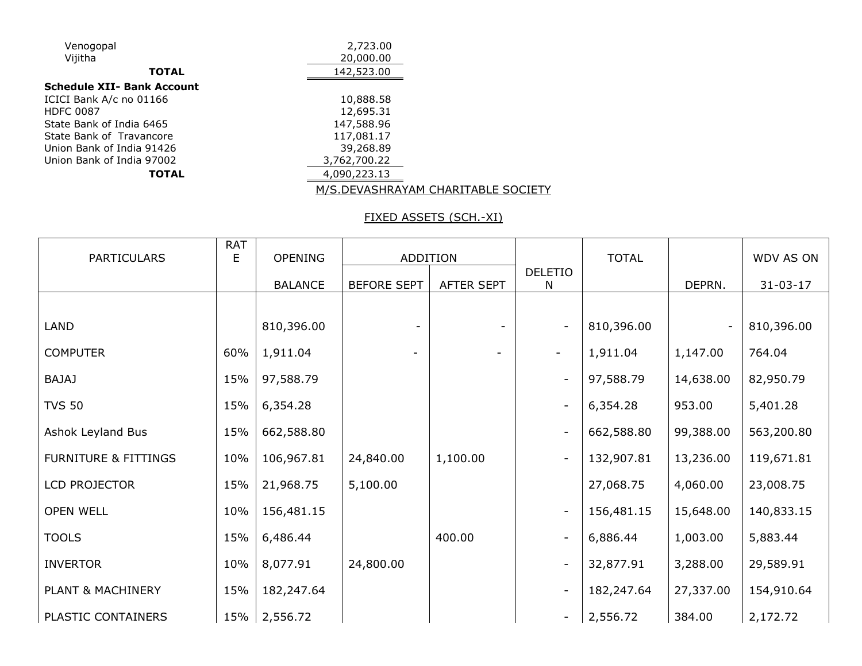| Venogopal                         | 2,723.00     |
|-----------------------------------|--------------|
| Vijitha                           | 20,000.00    |
| <b>TOTAL</b>                      | 142,523.00   |
| <b>Schedule XII- Bank Account</b> |              |
| ICICI Bank A/c no 01166           | 10,888.58    |
| <b>HDFC 0087</b>                  | 12,695.31    |
| State Bank of India 6465          | 147,588.96   |
| State Bank of Travancore          | 117,081.17   |
| Union Bank of India 91426         | 39,268.89    |
| Union Bank of India 97002         | 3,762,700.22 |
| <b>TOTAL</b>                      | 4,090,223.13 |
|                                   |              |

## M/S.DEVASHRAYAM CHARITABLE SOCIETY

## FIXED ASSETS (SCH.-XI)

| <b>PARTICULARS</b>              | <b>RAT</b> | <b>OPENING</b> |                    |            |                          | <b>TOTAL</b> |           | WDV AS ON      |
|---------------------------------|------------|----------------|--------------------|------------|--------------------------|--------------|-----------|----------------|
|                                 | E          |                | <b>ADDITION</b>    |            | <b>DELETIO</b>           |              |           |                |
|                                 |            | <b>BALANCE</b> | <b>BEFORE SEPT</b> | AFTER SEPT | N                        |              | DEPRN.    | $31 - 03 - 17$ |
|                                 |            |                |                    |            |                          |              |           |                |
| <b>LAND</b>                     |            | 810,396.00     |                    |            | $\overline{\phantom{a}}$ | 810,396.00   |           | 810,396.00     |
| <b>COMPUTER</b>                 | 60%        | 1,911.04       |                    |            | $\overline{\phantom{a}}$ | 1,911.04     | 1,147.00  | 764.04         |
| <b>BAJAJ</b>                    | 15%        | 97,588.79      |                    |            | $\overline{\phantom{a}}$ | 97,588.79    | 14,638.00 | 82,950.79      |
| <b>TVS 50</b>                   | 15%        | 6,354.28       |                    |            | $\overline{\phantom{a}}$ | 6,354.28     | 953.00    | 5,401.28       |
| Ashok Leyland Bus               | 15%        | 662,588.80     |                    |            | $\overline{\phantom{a}}$ | 662,588.80   | 99,388.00 | 563,200.80     |
| <b>FURNITURE &amp; FITTINGS</b> | 10%        | 106,967.81     | 24,840.00          | 1,100.00   | $\overline{\phantom{a}}$ | 132,907.81   | 13,236.00 | 119,671.81     |
| LCD PROJECTOR                   | 15%        | 21,968.75      | 5,100.00           |            |                          | 27,068.75    | 4,060.00  | 23,008.75      |
| OPEN WELL                       | 10%        | 156,481.15     |                    |            | $\overline{\phantom{a}}$ | 156,481.15   | 15,648.00 | 140,833.15     |
| <b>TOOLS</b>                    | 15%        | 6,486.44       |                    | 400.00     | $\overline{\phantom{a}}$ | 6,886.44     | 1,003.00  | 5,883.44       |
| <b>INVERTOR</b>                 | 10%        | 8,077.91       | 24,800.00          |            | $\overline{\phantom{a}}$ | 32,877.91    | 3,288.00  | 29,589.91      |
| PLANT & MACHINERY               | 15%        | 182,247.64     |                    |            | $\overline{\phantom{a}}$ | 182,247.64   | 27,337.00 | 154,910.64     |
| PLASTIC CONTAINERS              | 15%        | 2,556.72       |                    |            | $\overline{\phantom{a}}$ | 2,556.72     | 384.00    | 2,172.72       |